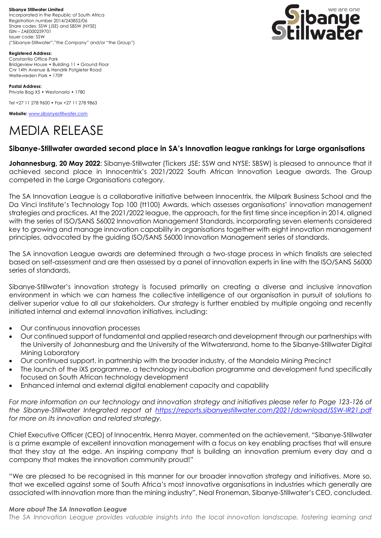**Sibanye Stillwater Limited**  Incorporated in the Republic of South Africa Registration number 2014/243852/06 Share codes: SSW (JSE) and SBSW (NYSE) ISIN – ZAE000259701 Issuer code: SSW ("Sibanye-Stillwater","the Company" and/or "the Group")



**Registered Address:** Constantia Office Park Bridgeview House • Building 11 • Ground Floor Cnr 14th Avenue & Hendrik Potgieter Road Weltevreden Park • 1709

**Postal Address:** Private Bag X5 • Westonaria • 1780

Tel +27 11 278 9600 • Fax +27 11 278 9863

**Website:** [www.sibanyestillwater.com](http://www.sibanyestillwater.com/)

# MEDIA RELEASE

## **Sibanye-Stillwater awarded second place in SA's Innovation league rankings for Large organisations**

**Johannesburg, 20 May 2022**: Sibanye-Stillwater (Tickers JSE: SSW and NYSE: SBSW) is pleased to announce that it achieved second place in Innocentrix's 2021/2022 South African Innovation League awards. The Group competed in the Large Organisations category.

The SA Innovation League is a collaborative initiative between Innocentrix, the Milpark Business School and the Da Vinci Institute's Technology Top 100 (tt100) Awards, which assesses organisations' innovation management strategies and practices. At the 2021/2022 league, the approach, for the first time since inception in 2014, aligned with the series of ISO/SANS 56002 Innovation Management Standards, incorporating seven elements considered key to growing and manage innovation capability in organisations together with eight innovation management principles, advocated by the guiding ISO/SANS 56000 Innovation Management series of standards.

The SA innovation League awards are determined through a two-stage process in which finalists are selected based on self-assessment and are then assessed by a panel of innovation experts in line with the ISO/SANS 56000 series of standards.

Sibanye-Stillwater's innovation strategy is focused primarily on creating a diverse and inclusive innovation environment in which we can harness the collective intelligence of our organisation in pursuit of solutions to deliver superior value to all our stakeholders. Our strategy is further enabled by multiple ongoing and recently initiated internal and external innovation initiatives, including:

- Our continuous innovation processes
- Our continued support of fundamental and applied research and development through our partnerships with the University of Johannesburg and the University of the Witwatersrand, home to the Sibanye-Stillwater Digital Mining Laboratory
- Our continued support, in partnership with the broader industry, of the Mandela Mining Precinct
- The launch of the iXS programme, a technology incubation programme and development fund specifically focused on South African technology development
- Enhanced internal and external digital enablement capacity and capability

For more information on our technology and innovation strategy and initiatives please refer to Page 123-126 of *the Sibanye-Stillwater Integrated report at <https://reports.sibanyestillwater.com/2021/download/SSW-IR21.pdf> for more on its innovation and related strategy.*

Chief Executive Officer (CEO) of Innocentrix, Henra Mayer, commented on the achievement, "Sibanye-Stillwater is a prime example of excellent innovation management with a focus on key enabling practises that will ensure that they stay at the edge. An inspiring company that is building an innovation premium every day and a company that makes the innovation community proud!"

"We are pleased to be recognised in this manner for our broader innovation strategy and initiatives. More so, that we excelled against some of South Africa's most innovative organisations in industries which generally are associated with innovation more than the mining industry", Neal Froneman, Sibanye-Stillwater's CEO, concluded.

#### *More about The SA Innovation League*

*The SA Innovation League provides valuable insights into the local innovation landscape, fostering learning and*